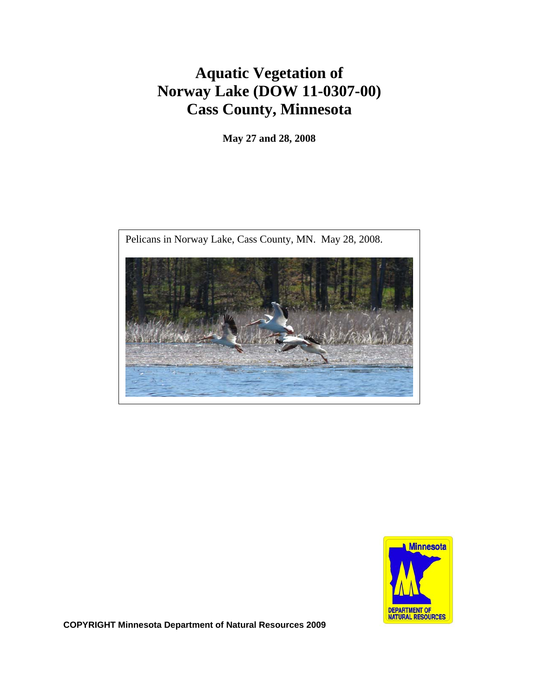# **Aquatic Vegetation of Norway Lake (DOW 11-0307-00) Cass County, Minnesota**

**May 27 and 28, 2008**





**COPYRIGHT Minnesota Department of Natural Resources 2009**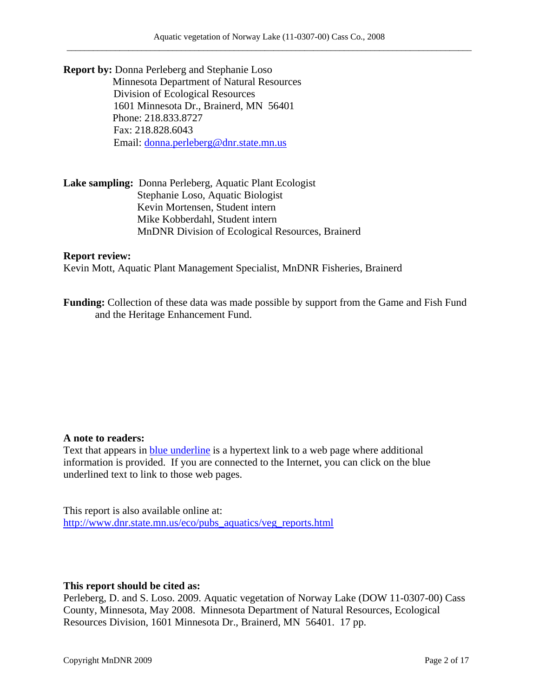**Report by:** Donna Perleberg and Stephanie Loso Minnesota Department of Natural Resources Division of Ecological Resources 1601 Minnesota Dr., Brainerd, MN 56401 P Phone: 218.833.8727 Fax: 218.828.6043 Email: donna.perleberg@dnr.state.mn.us

**Lake sampling:** Donna Perleberg, Aquatic Plant Ecologist Stephanie Loso, Aquatic Biologist Kevin Mortensen, Student intern Mike Kobberdahl, Student intern MnDNR Division of Ecological Resources, Brainerd

#### **Report review:**

Kevin Mott, Aquatic Plant Management Specialist, MnDNR Fisheries, Brainerd

**Funding:** Collection of these data was made possible by support from the Game and Fish Fund and the Heritage Enhancement Fund.

#### **A note to readers:**

Text that appears in blue underline is a hypertext link to a web page where additional information is provided. If you are connected to the Internet, you can click on the blue underlined text to link to those web pages.

This report is also available online at: http://www.dnr.state.mn.us/eco/pubs\_aquatics/veg\_reports.html

#### **This report should be cited as:**

Perleberg, D. and S. Loso. 2009. Aquatic vegetation of Norway Lake (DOW 11-0307-00) Cass County, Minnesota, May 2008. Minnesota Department of Natural Resources, Ecological Resources Division, 1601 Minnesota Dr., Brainerd, MN 56401. 17 pp.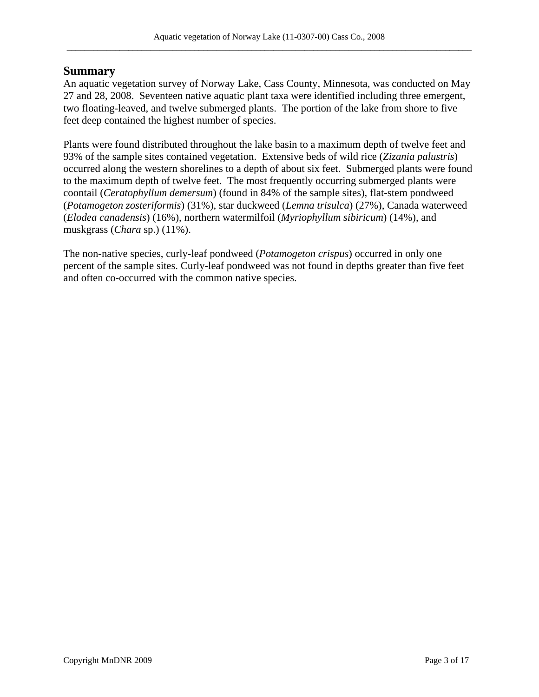### **Summary**

An aquatic vegetation survey of Norway Lake, Cass County, Minnesota, was conducted on May 27 and 28, 2008. Seventeen native aquatic plant taxa were identified including three emergent, two floating-leaved, and twelve submerged plants. The portion of the lake from shore to five feet deep contained the highest number of species.

Plants were found distributed throughout the lake basin to a maximum depth of twelve feet and 93% of the sample sites contained vegetation. Extensive beds of wild rice (*Zizania palustris*) occurred along the western shorelines to a depth of about six feet. Submerged plants were found to the maximum depth of twelve feet. The most frequently occurring submerged plants were coontail (*Ceratophyllum demersum*) (found in 84% of the sample sites), flat-stem pondweed (*Potamogeton zosteriformis*) (31%), star duckweed (*Lemna trisulca*) (27%), Canada waterweed (*Elodea canadensis*) (16%), northern watermilfoil (*Myriophyllum sibiricum*) (14%), and muskgrass (*Chara* sp.) (11%).

The non-native species, curly-leaf pondweed (*Potamogeton crispus*) occurred in only one percent of the sample sites. Curly-leaf pondweed was not found in depths greater than five feet and often co-occurred with the common native species.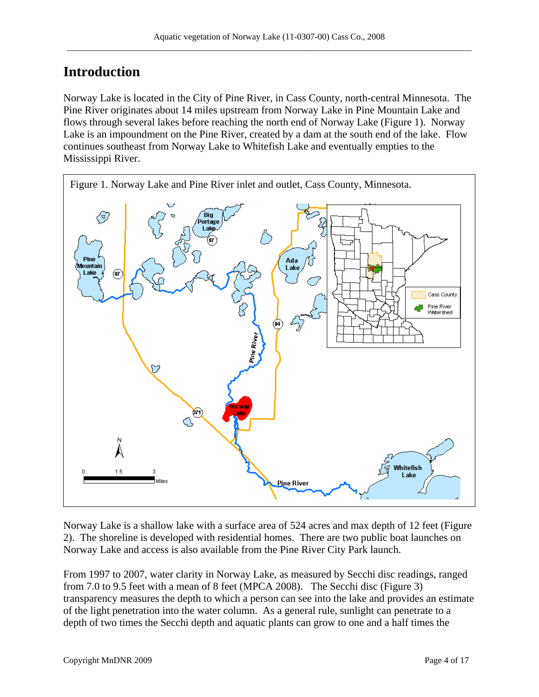## **Introduction**

Norway Lake is located in the City of Pine River, in Cass County, north-central Minnesota. The Pine River originates about 14 miles upstream from Norway Lake in Pine Mountain Lake and flows through several lakes before reaching the north end of Norway Lake (Figure 1). Norway Lake is an impoundment on the Pine River, created by a dam at the south end of the lake. Flow continues southeast from Norway Lake to Whitefish Lake and eventually empties to the Mississippi River.



Norway Lake is a shallow lake with a surface area of 524 acres and max depth of 12 feet (Figure 2). The shoreline is developed with residential homes. There are two public boat launches on Norway Lake and access is also available from the Pine River City Park launch.

From 1997 to 2007, water clarity in Norway Lake, as measured by Secchi disc readings, ranged from 7.0 to 9.5 feet with a mean of 8 feet (MPCA 2008). The Secchi disc (Figure 3) transparency measures the depth to which a person can see into the lake and provides an estimate of the light penetration into the water column. As a general rule, sunlight can penetrate to a depth of two times the Secchi depth and aquatic plants can grow to one and a half times the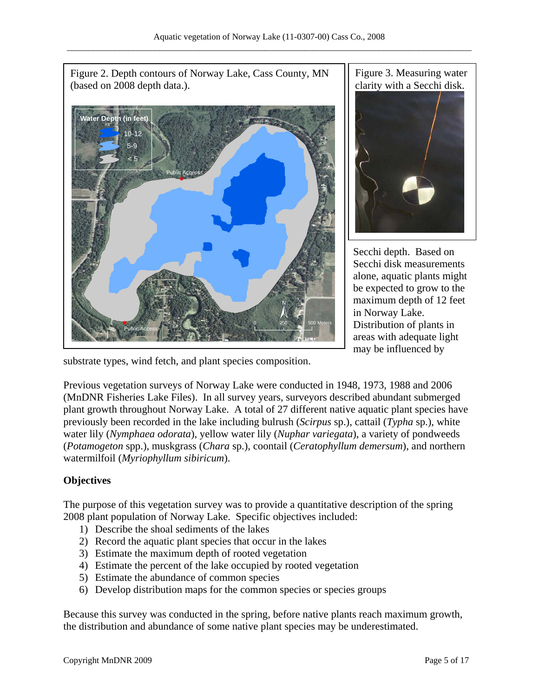

Figure 3. Measuring water clarity with a Secchi disk.



Secchi depth. Based on Secchi disk measurements alone, aquatic plants might be expected to grow to the maximum depth of 12 feet in Norway Lake. Distribution of plants in areas with adequate light may be influenced by

substrate types, wind fetch, and plant species composition.

Previous vegetation surveys of Norway Lake were conducted in 1948, 1973, 1988 and 2006 (MnDNR Fisheries Lake Files). In all survey years, surveyors described abundant submerged plant growth throughout Norway Lake. A total of 27 different native aquatic plant species have previously been recorded in the lake including bulrush (*Scirpus* sp.), cattail (*Typha* sp.), white water lily (*Nymphaea odorata*), yellow water lily (*Nuphar variegata*), a variety of pondweeds (*Potamogeton* spp.), muskgrass (*Chara* sp.), coontail (*Ceratophyllum demersum*), and northern watermilfoil (*Myriophyllum sibiricum*).

### **Objectives**

The purpose of this vegetation survey was to provide a quantitative description of the spring 2008 plant population of Norway Lake. Specific objectives included:

- 1) Describe the shoal sediments of the lakes
- 2) Record the aquatic plant species that occur in the lakes
- 3) Estimate the maximum depth of rooted vegetation
- 4) Estimate the percent of the lake occupied by rooted vegetation
- 5) Estimate the abundance of common species
- 6) Develop distribution maps for the common species or species groups

Because this survey was conducted in the spring, before native plants reach maximum growth, the distribution and abundance of some native plant species may be underestimated.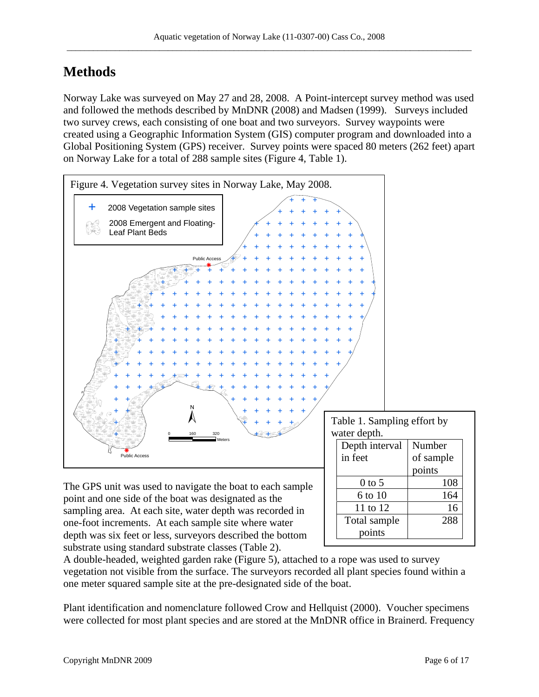## **Methods**

Norway Lake was surveyed on May 27 and 28, 2008. A Point-intercept survey method was used and followed the methods described by MnDNR (2008) and Madsen (1999). Surveys included two survey crews, each consisting of one boat and two surveyors. Survey waypoints were created using a Geographic Information System (GIS) computer program and downloaded into a Global Positioning System (GPS) receiver. Survey points were spaced 80 meters (262 feet) apart on Norway Lake for a total of 288 sample sites (Figure 4, Table 1).



A double-headed, weighted garden rake (Figure 5), attached to a rope was used to survey vegetation not visible from the surface. The surveyors recorded all plant species found within a one meter squared sample site at the pre-designated side of the boat.

Plant identification and nomenclature followed Crow and Hellquist (2000). Voucher specimens were collected for most plant species and are stored at the MnDNR office in Brainerd. Frequency

substrate using standard substrate classes (Table 2).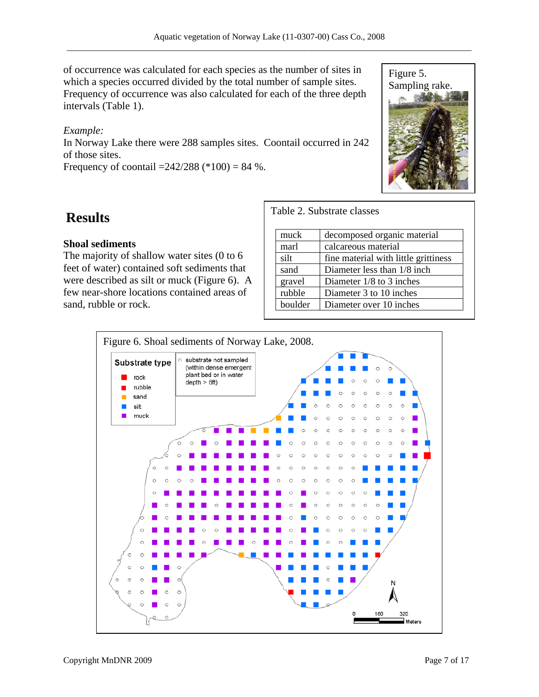of occurrence was calculated for each species as the number of sites in which a species occurred divided by the total number of sample sites. Frequency of occurrence was also calculated for each of the three depth intervals (Table 1).

#### *Example:*

In Norway Lake there were 288 samples sites. Coontail occurred in 242 of those sites.

Frequency of coontail  $=242/288$  (\*100) = 84 %.



## **Results**

#### **Shoal sediments**

The majority of shallow water sites (0 to 6 feet of water) contained soft sediments that were described as silt or muck (Figure 6). A few near-shore locations contained areas of sand, rubble or rock.

Table 2. Substrate classes

| muck    | decomposed organic material          |  |  |
|---------|--------------------------------------|--|--|
| marl    | calcareous material                  |  |  |
| silt    | fine material with little grittiness |  |  |
| sand    | Diameter less than 1/8 inch.         |  |  |
| gravel  | Diameter $1/8$ to 3 inches           |  |  |
| rubble  | Diameter 3 to 10 inches              |  |  |
| boulder | Diameter over 10 inches              |  |  |

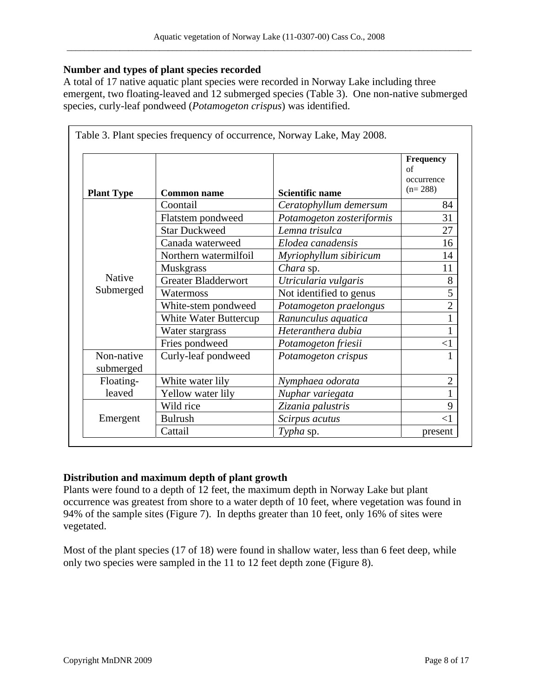#### **Number and types of plant species recorded**

A total of 17 native aquatic plant species were recorded in Norway Lake including three emergent, two floating-leaved and 12 submerged species (Table 3). One non-native submerged species, curly-leaf pondweed (*Potamogeton crispus*) was identified.

|                         |                            |                           | <b>Frequency</b><br>of<br>occurrence<br>$(n=288)$ |
|-------------------------|----------------------------|---------------------------|---------------------------------------------------|
| <b>Plant Type</b>       | <b>Common name</b>         | <b>Scientific name</b>    |                                                   |
| Native<br>Submerged     | Coontail                   | Ceratophyllum demersum    | 84                                                |
|                         | Flatstem pondweed          | Potamogeton zosteriformis | 31                                                |
|                         | <b>Star Duckweed</b>       | Lemna trisulca            | 27                                                |
|                         | Canada waterweed           | Elodea canadensis         | 16                                                |
|                         | Northern watermilfoil      | Myriophyllum sibiricum    | 14                                                |
|                         | <b>Muskgrass</b>           | Chara sp.                 | 11                                                |
|                         | <b>Greater Bladderwort</b> | Utricularia vulgaris      | 8                                                 |
|                         | Watermoss                  | Not identified to genus   | 5                                                 |
|                         | White-stem pondweed        | Potamogeton praelongus    | $\overline{2}$                                    |
|                         | White Water Buttercup      | Ranunculus aquatica       |                                                   |
|                         | Water stargrass            | Heteranthera dubia        |                                                   |
|                         | Fries pondweed             | Potamogeton friesii       | $<$ 1                                             |
| Non-native<br>submerged | Curly-leaf pondweed        | Potamogeton crispus       |                                                   |
| Floating-               | White water lily           | Nymphaea odorata          | $\overline{2}$                                    |
| leaved                  | Yellow water lily          | Nuphar variegata          |                                                   |
| Emergent                | Wild rice                  | Zizania palustris         | 9                                                 |
|                         | <b>Bulrush</b>             | Scirpus acutus            | ${<}1$                                            |
|                         | Cattail                    | Typha sp.                 | present                                           |

#### **Distribution and maximum depth of plant growth**

Plants were found to a depth of 12 feet, the maximum depth in Norway Lake but plant occurrence was greatest from shore to a water depth of 10 feet, where vegetation was found in 94% of the sample sites (Figure 7). In depths greater than 10 feet, only 16% of sites were vegetated.

Most of the plant species (17 of 18) were found in shallow water, less than 6 feet deep, while only two species were sampled in the 11 to 12 feet depth zone (Figure 8).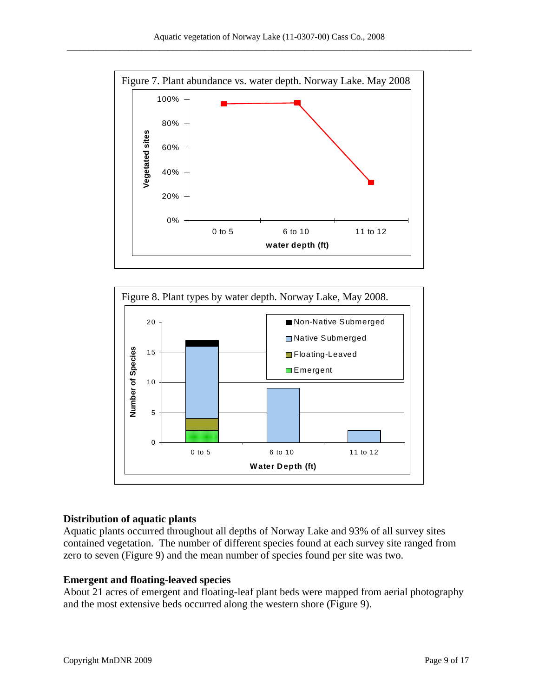



#### **Distribution of aquatic plants**

Aquatic plants occurred throughout all depths of Norway Lake and 93% of all survey sites contained vegetation. The number of different species found at each survey site ranged from zero to seven (Figure 9) and the mean number of species found per site was two.

#### **Emergent and floating-leaved species**

About 21 acres of emergent and floating-leaf plant beds were mapped from aerial photography and the most extensive beds occurred along the western shore (Figure 9).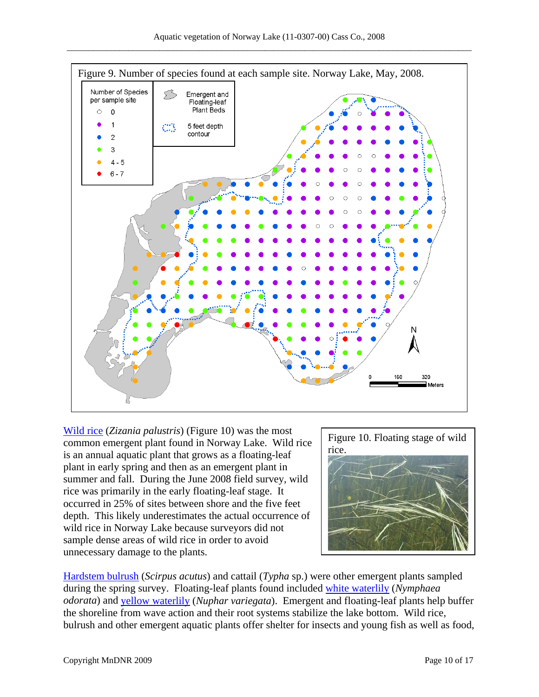

Wild rice (*Zizania palustris*) (Figure 10) was the most common emergent plant found in Norway Lake. Wild rice is an annual aquatic plant that grows as a floating-leaf plant in early spring and then as an emergent plant in summer and fall. During the June 2008 field survey, wild rice was primarily in the early floating-leaf stage. It occurred in 25% of sites between shore and the five feet depth. This likely underestimates the actual occurrence of wild rice in Norway Lake because surveyors did not sample dense areas of wild rice in order to avoid unnecessary damage to the plants.



Hardstem bulrush (*Scirpus acutus*) and cattail (*Typha* sp.) were other emergent plants sampled during the spring survey. Floating-leaf plants found included white waterlily (*Nymphaea odorata*) and yellow waterlily (*Nuphar variegata*). Emergent and floating-leaf plants help buffer the shoreline from wave action and their root systems stabilize the lake bottom. Wild rice, bulrush and other emergent aquatic plants offer shelter for insects and young fish as well as food,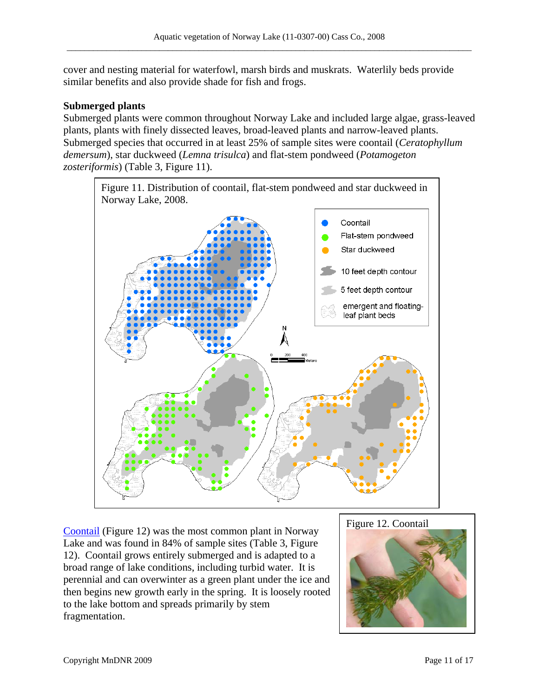cover and nesting material for waterfowl, marsh birds and muskrats. Waterlily beds provide similar benefits and also provide shade for fish and frogs.

#### **Submerged plants**

Submerged plants were common throughout Norway Lake and included large algae, grass-leaved plants, plants with finely dissected leaves, broad-leaved plants and narrow-leaved plants. Submerged species that occurred in at least 25% of sample sites were coontail (*Ceratophyllum demersum*), star duckweed (*Lemna trisulca*) and flat-stem pondweed (*Potamogeton zosteriformis*) (Table 3, Figure 11).



Coontail (Figure 12) was the most common plant in Norway Lake and was found in 84% of sample sites (Table 3, Figure 12). Coontail grows entirely submerged and is adapted to a broad range of lake conditions, including turbid water. It is perennial and can overwinter as a green plant under the ice and then begins new growth early in the spring. It is loosely rooted to the lake bottom and spreads primarily by stem fragmentation.

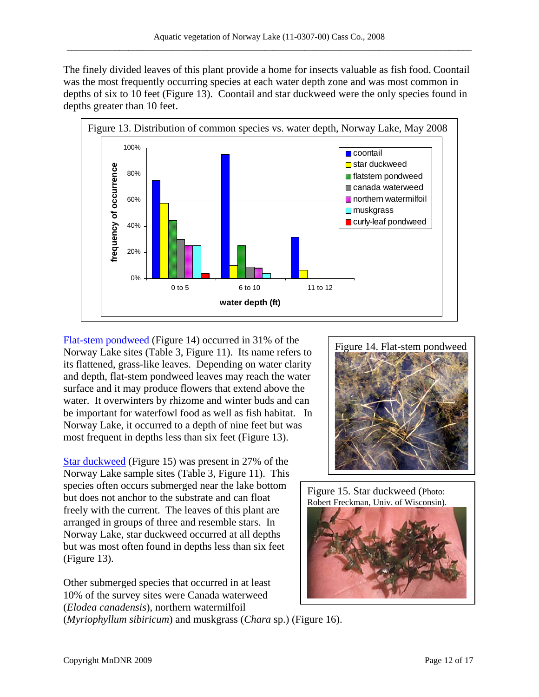The finely divided leaves of this plant provide a home for insects valuable as fish food. Coontail was the most frequently occurring species at each water depth zone and was most common in depths of six to 10 feet (Figure 13). Coontail and star duckweed were the only species found in depths greater than 10 feet.



Flat-stem pondweed (Figure 14) occurred in  $31\%$  of the Norway Lake sites (Table 3, Figure 11). Its name refers to its flattened, grass-like leaves. Depending on water clarity and depth, flat-stem pondweed leaves may reach the water surface and it may produce flowers that extend above the water. It overwinters by rhizome and winter buds and can be important for waterfowl food as well as fish habitat. In Norway Lake, it occurred to a depth of nine feet but was most frequent in depths less than six feet (Figure 13).

Star duckweed (Figure 15) was present in  $27\%$  of the Norway Lake sample sites (Table 3, Figure 11). This species often occurs submerged near the lake bottom but does not anchor to the substrate and can float freely with the current. The leaves of this plant are arranged in groups of three and resemble stars. In Norway Lake, star duckweed occurred at all depths but was most often found in depths less than six feet (Figure 13).

Other submerged species that occurred in at least 10% of the survey sites were Canada waterweed (*Elodea canadensis*), northern watermilfoil

Figure 14. Flat-stem pondweed



(*Myriophyllum sibiricum*) and muskgrass (*Chara* sp.) (Figure 16).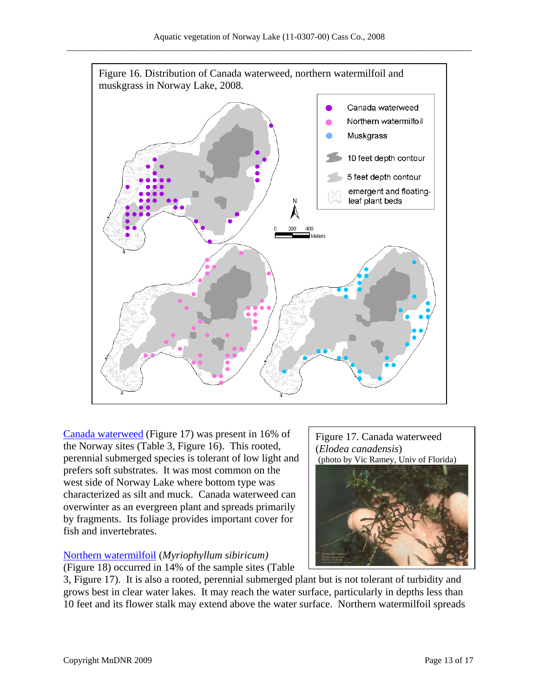

Canada waterweed (Figure 17) was present in 16% of the Norway sites (Table 3, Figure 16). This rooted, perennial submerged species is tolerant of low light and prefers soft substrates. It was most common on the west side of Norway Lake where bottom type was characterized as silt and muck. Canada waterweed can overwinter as an evergreen plant and spreads primarily by fragments. Its foliage provides important cover for fish and invertebrates.

### **Northern watermilfoil** (*Myriophyllum sibiricum*)

(Figure 18) occurred in 14% of the sample sites (Table

3, Figure 17). It is also a rooted, perennial submerged plant but is not tolerant of turbidity and grows best in clear water lakes. It may reach the water surface, particularly in depths less than 10 feet and its flower stalk may extend above the water surface. Northern watermilfoil spreads

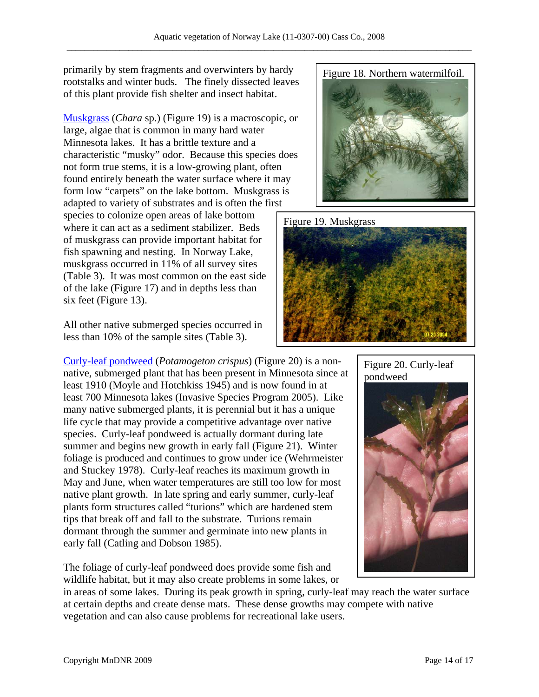primarily by stem fragments and overwinters by hardy rootstalks and winter buds. The finely dissected leaves of this plant provide fish shelter and insect habitat.

Muskgrass (*Chara* sp.) (Figure 19) is a macroscopic, or large, algae that is common in many hard water Minnesota lakes. It has a brittle texture and a characteristic "musky" odor. Because this species does not form true stems, it is a low-growing plant, often found entirely beneath the water surface where it may form low "carpets" on the lake bottom. Muskgrass is adapted to variety of substrates and is often the first species to colonize open areas of lake bottom where it can act as a sediment stabilizer. Beds of muskgrass can provide important habitat for fish spawning and nesting. In Norway Lake, muskgrass occurred in 11% of all survey sites (Table 3). It was most common on the east side of the lake (Figure 17) and in depths less than six feet (Figure 13).

All other native submerged species occurred in less than 10% of the sample sites (Table 3).

Curly-leaf pondweed (*Potamogeton crispus*) (Figure 20) is a nonnative, submerged plant that has been present in Minnesota since at least 1910 (Moyle and Hotchkiss 1945) and is now found in at least 700 Minnesota lakes (Invasive Species Program 2005). Like many native submerged plants, it is perennial but it has a unique life cycle that may provide a competitive advantage over native species. Curly-leaf pondweed is actually dormant during late summer and begins new growth in early fall (Figure 21). Winter foliage is produced and continues to grow under ice (Wehrmeister and Stuckey 1978). Curly-leaf reaches its maximum growth in May and June, when water temperatures are still too low for most native plant growth. In late spring and early summer, curly-leaf plants form structures called "turions" which are hardened stem tips that break off and fall to the substrate. Turions remain dormant through the summer and germinate into new plants in early fall (Catling and Dobson 1985).

The foliage of curly-leaf pondweed does provide some fish and wildlife habitat, but it may also create problems in some lakes, or

in areas of some lakes. During its peak growth in spring, curly-leaf may reach the water surface at certain depths and create dense mats. These dense growths may compete with native vegetation and can also cause problems for recreational lake users.







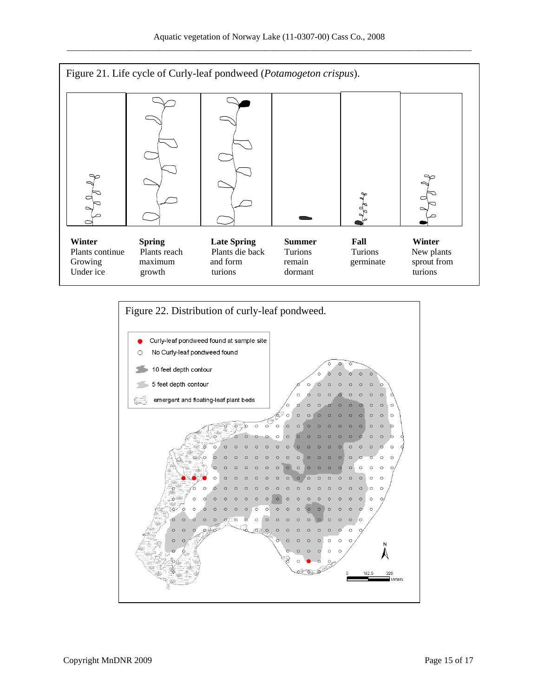

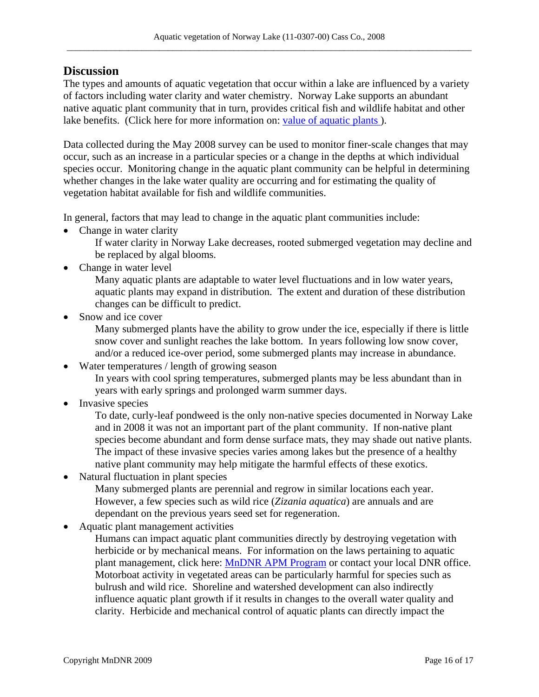### **Discussion**

The types and amounts of aquatic vegetation that occur within a lake are influenced by a variety of factors including water clarity and water chemistry. Norway Lake supports an abundant native aquatic plant community that in turn, provides critical fish and wildlife habitat and other lake benefits. (Click here for more information on: value of aquatic plants).

Data collected during the May 2008 survey can be used to monitor finer-scale changes that may occur, such as an increase in a particular species or a change in the depths at which individual species occur. Monitoring change in the aquatic plant community can be helpful in determining whether changes in the lake water quality are occurring and for estimating the quality of vegetation habitat available for fish and wildlife communities.

In general, factors that may lead to change in the aquatic plant communities include:

• Change in water clarity

If water clarity in Norway Lake decreases, rooted submerged vegetation may decline and be replaced by algal blooms.

• Change in water level

Many aquatic plants are adaptable to water level fluctuations and in low water years, aquatic plants may expand in distribution. The extent and duration of these distribution changes can be difficult to predict.

• Snow and ice cover

Many submerged plants have the ability to grow under the ice, especially if there is little snow cover and sunlight reaches the lake bottom. In years following low snow cover, and/or a reduced ice-over period, some submerged plants may increase in abundance.

- Water temperatures / length of growing season In years with cool spring temperatures, submerged plants may be less abundant than in years with early springs and prolonged warm summer days.
- Invasive species

To date, curly-leaf pondweed is the only non-native species documented in Norway Lake and in 2008 it was not an important part of the plant community. If non-native plant species become abundant and form dense surface mats, they may shade out native plants. The impact of these invasive species varies among lakes but the presence of a healthy native plant community may help mitigate the harmful effects of these exotics.

• Natural fluctuation in plant species

Many submerged plants are perennial and regrow in similar locations each year. However, a few species such as wild rice (*Zizania aquatica*) are annuals and are dependant on the previous years seed set for regeneration.

• Aquatic plant management activities

Humans can impact aquatic plant communities directly by destroying vegetation with herbicide or by mechanical means. For information on the laws pertaining to aquatic plant management, click here: MnDNR APM Program or contact your local DNR office. Motorboat activity in vegetated areas can be particularly harmful for species such as bulrush and wild rice. Shoreline and watershed development can also indirectly influence aquatic plant growth if it results in changes to the overall water quality and clarity. Herbicide and mechanical control of aquatic plants can directly impact the